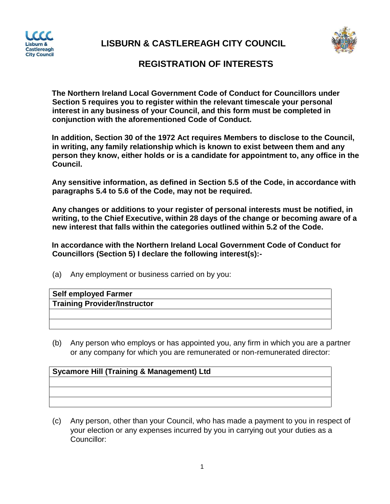

**LISBURN & CASTLEREAGH CITY COUNCIL** 



## **REGISTRATION OF INTERESTS**

**The Northern Ireland Local Government Code of Conduct for Councillors under Section 5 requires you to register within the relevant timescale your personal interest in any business of your Council, and this form must be completed in conjunction with the aforementioned Code of Conduct.** 

**In addition, Section 30 of the 1972 Act requires Members to disclose to the Council, in writing, any family relationship which is known to exist between them and any person they know, either holds or is a candidate for appointment to, any office in the Council.** 

**Any sensitive information, as defined in Section 5.5 of the Code, in accordance with paragraphs 5.4 to 5.6 of the Code, may not be required.** 

**Any changes or additions to your register of personal interests must be notified, in writing, to the Chief Executive, within 28 days of the change or becoming aware of a new interest that falls within the categories outlined within 5.2 of the Code.** 

**In accordance with the Northern Ireland Local Government Code of Conduct for Councillors (Section 5) I declare the following interest(s):-**

(a) Any employment or business carried on by you:

| <b>Self employed Farmer</b>         |
|-------------------------------------|
| <b>Training Provider/Instructor</b> |
|                                     |
|                                     |

(b) Any person who employs or has appointed you, any firm in which you are a partner or any company for which you are remunerated or non-remunerated director:

## **Sycamore Hill (Training & Management) Ltd**

(c) Any person, other than your Council, who has made a payment to you in respect of your election or any expenses incurred by you in carrying out your duties as a Councillor: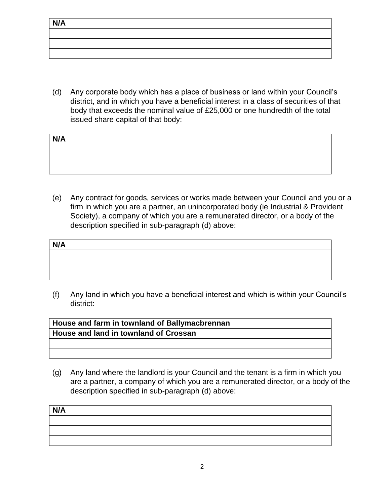(d) Any corporate body which has a place of business or land within your Council's district, and in which you have a beneficial interest in a class of securities of that body that exceeds the nominal value of £25,000 or one hundredth of the total issued share capital of that body:

| N/A |  |
|-----|--|
|     |  |
|     |  |
|     |  |

(e) Any contract for goods, services or works made between your Council and you or a firm in which you are a partner, an unincorporated body (ie Industrial & Provident Society), a company of which you are a remunerated director, or a body of the description specified in sub-paragraph (d) above:

(f) Any land in which you have a beneficial interest and which is within your Council's district:

| House and farm in townland of Ballymacbrennan |
|-----------------------------------------------|
| <b>House and land in townland of Crossan</b>  |
|                                               |
|                                               |

(g) Any land where the landlord is your Council and the tenant is a firm in which you are a partner, a company of which you are a remunerated director, or a body of the description specified in sub-paragraph (d) above:

| N/A |  |  |
|-----|--|--|
|     |  |  |
|     |  |  |
|     |  |  |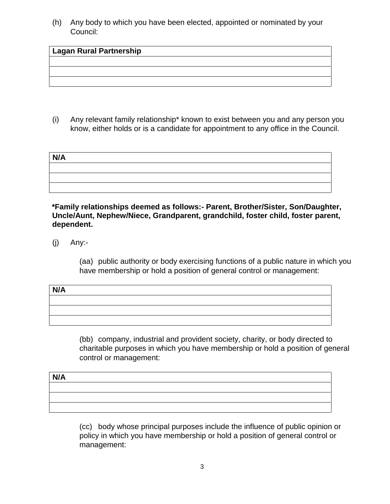(h) Any body to which you have been elected, appointed or nominated by your Council:

## **Lagan Rural Partnership**

(i) Any relevant family relationship\* known to exist between you and any person you know, either holds or is a candidate for appointment to any office in the Council.

| N/A |  |  |
|-----|--|--|
|     |  |  |
|     |  |  |
|     |  |  |

**\*Family relationships deemed as follows:- Parent, Brother/Sister, Son/Daughter, Uncle/Aunt, Nephew/Niece, Grandparent, grandchild, foster child, foster parent, dependent.** 

(j) Any:-

(aa) public authority or body exercising functions of a public nature in which you have membership or hold a position of general control or management:

| N/A |  |
|-----|--|
|     |  |
|     |  |
|     |  |

(bb) company, industrial and provident society, charity, or body directed to charitable purposes in which you have membership or hold a position of general control or management:

| N/A |  |  |
|-----|--|--|
|     |  |  |
|     |  |  |
|     |  |  |

(cc) body whose principal purposes include the influence of public opinion or policy in which you have membership or hold a position of general control or management: